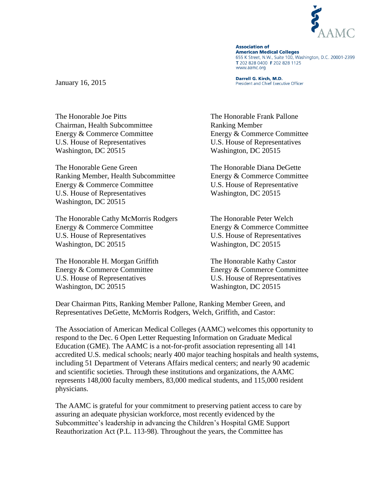

**Association of American Medical Colleges** 655 K Street, N.W., Suite 100, Washington, D.C. 20001-2399 T 202 828 0400 F 202 828 1125 www.aamc.org

Darrell G. Kirch, M.D. President and Chief Executive Officer

January 16, 2015

The Honorable Joe Pitts The Honorable Frank Pallone Chairman, Health Subcommittee Ranking Member Energy & Commerce Committee Energy & Commerce Committee U.S. House of Representatives U.S. House of Representatives Washington, DC 20515 Washington, DC 20515

The Honorable Gene Green The Honorable Diana DeGette Ranking Member, Health Subcommittee Energy & Commerce Committee Energy & Commerce Committee U.S. House of Representative U.S. House of Representatives Washington, DC 20515 Washington, DC 20515

The Honorable Cathy McMorris Rodgers The Honorable Peter Welch Energy & Commerce Committee Energy & Commerce Committee U.S. House of Representatives U.S. House of Representatives Washington, DC 20515 Washington, DC 20515

The Honorable H. Morgan Griffith The Honorable Kathy Castor Energy & Commerce Committee Energy & Commerce Committee U.S. House of Representatives U.S. House of Representatives Washington, DC 20515 Washington, DC 20515

Dear Chairman Pitts, Ranking Member Pallone, Ranking Member Green, and Representatives DeGette, McMorris Rodgers, Welch, Griffith, and Castor:

The Association of American Medical Colleges (AAMC) welcomes this opportunity to respond to the Dec. 6 Open Letter Requesting Information on Graduate Medical Education (GME). The AAMC is a not-for-profit association representing all 141 accredited U.S. medical schools; nearly 400 major teaching hospitals and health systems, including 51 Department of Veterans Affairs medical centers; and nearly 90 academic and scientific societies. Through these institutions and organizations, the AAMC represents 148,000 faculty members, 83,000 medical students, and 115,000 resident physicians.

The AAMC is grateful for your commitment to preserving patient access to care by assuring an adequate physician workforce, most recently evidenced by the Subcommittee's leadership in advancing the Children's Hospital GME Support Reauthorization Act (P.L. 113-98). Throughout the years, the Committee has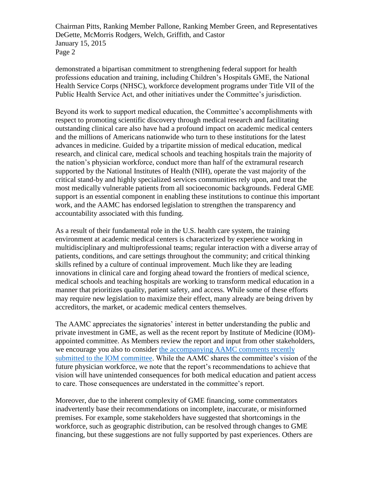Chairman Pitts, Ranking Member Pallone, Ranking Member Green, and Representatives DeGette, McMorris Rodgers, Welch, Griffith, and Castor January 15, 2015 Page 2

demonstrated a bipartisan commitment to strengthening federal support for health professions education and training, including Children's Hospitals GME, the National Health Service Corps (NHSC), workforce development programs under Title VII of the Public Health Service Act, and other initiatives under the Committee's jurisdiction.

Beyond its work to support medical education, the Committee's accomplishments with respect to promoting scientific discovery through medical research and facilitating outstanding clinical care also have had a profound impact on academic medical centers and the millions of Americans nationwide who turn to these institutions for the latest advances in medicine. Guided by a tripartite mission of medical education, medical research, and clinical care, medical schools and teaching hospitals train the majority of the nation's physician workforce, conduct more than half of the extramural research supported by the National Institutes of Health (NIH), operate the vast majority of the critical stand-by and highly specialized services communities rely upon, and treat the most medically vulnerable patients from all socioeconomic backgrounds. Federal GME support is an essential component in enabling these institutions to continue this important work, and the AAMC has endorsed legislation to strengthen the transparency and accountability associated with this funding.

As a result of their fundamental role in the U.S. health care system, the training environment at academic medical centers is characterized by experience working in multidisciplinary and multiprofessional teams; regular interaction with a diverse array of patients, conditions, and care settings throughout the community; and critical thinking skills refined by a culture of continual improvement. Much like they are leading innovations in clinical care and forging ahead toward the frontiers of medical science, medical schools and teaching hospitals are working to transform medical education in a manner that prioritizes quality, patient safety, and access. While some of these efforts may require new legislation to maximize their effect, many already are being driven by accreditors, the market, or academic medical centers themselves.

The AAMC appreciates the signatories' interest in better understanding the public and private investment in GME, as well as the recent report by Institute of Medicine (IOM) appointed committee. As Members review the report and input from other stakeholders, we encourage you also to consider the accompanying [AAMC comments recently](https://www.aamc.org/download/421856/data/aamcresponsetoiomreportongme.pdf)  [submitted to the IOM committee.](https://www.aamc.org/download/421856/data/aamcresponsetoiomreportongme.pdf) While the AAMC shares the committee's vision of the future physician workforce, we note that the report's recommendations to achieve that vision will have unintended consequences for both medical education and patient access to care. Those consequences are understated in the committee's report.

Moreover, due to the inherent complexity of GME financing, some commentators inadvertently base their recommendations on incomplete, inaccurate, or misinformed premises. For example, some stakeholders have suggested that shortcomings in the workforce, such as geographic distribution, can be resolved through changes to GME financing, but these suggestions are not fully supported by past experiences. Others are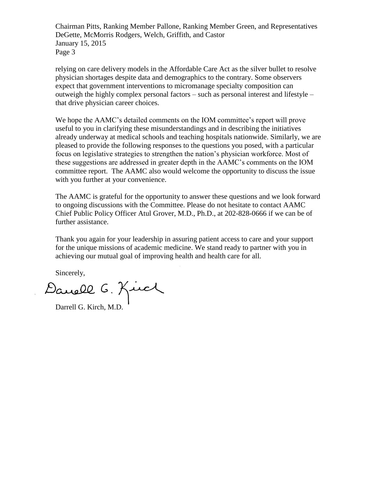Chairman Pitts, Ranking Member Pallone, Ranking Member Green, and Representatives DeGette, McMorris Rodgers, Welch, Griffith, and Castor January 15, 2015 Page 3

relying on care delivery models in the Affordable Care Act as the silver bullet to resolve physician shortages despite data and demographics to the contrary. Some observers expect that government interventions to micromanage specialty composition can outweigh the highly complex personal factors – such as personal interest and lifestyle – that drive physician career choices.

We hope the AAMC's detailed comments on the IOM committee's report will prove useful to you in clarifying these misunderstandings and in describing the initiatives already underway at medical schools and teaching hospitals nationwide. Similarly, we are pleased to provide the following responses to the questions you posed, with a particular focus on legislative strategies to strengthen the nation's physician workforce. Most of these suggestions are addressed in greater depth in the AAMC's comments on the IOM committee report. The AAMC also would welcome the opportunity to discuss the issue with you further at your convenience.

The AAMC is grateful for the opportunity to answer these questions and we look forward to ongoing discussions with the Committee. Please do not hesitate to contact AAMC Chief Public Policy Officer Atul Grover, M.D., Ph.D., at 202-828-0666 if we can be of further assistance.

Thank you again for your leadership in assuring patient access to care and your support for the unique missions of academic medicine. We stand ready to partner with you in achieving our mutual goal of improving health and health care for all.

Sincerely,

Darrell G. Kirch, M.D.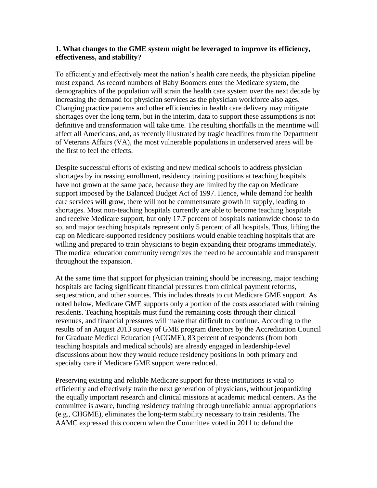### **1. What changes to the GME system might be leveraged to improve its efficiency, effectiveness, and stability?**

To efficiently and effectively meet the nation's health care needs, the physician pipeline must expand. As record numbers of Baby Boomers enter the Medicare system, the demographics of the population will strain the health care system over the next decade by increasing the demand for physician services as the physician workforce also ages. Changing practice patterns and other efficiencies in health care delivery may mitigate shortages over the long term, but in the interim, data to support these assumptions is not definitive and transformation will take time. The resulting shortfalls in the meantime will affect all Americans, and, as recently illustrated by tragic headlines from the Department of Veterans Affairs (VA), the most vulnerable populations in underserved areas will be the first to feel the effects.

Despite successful efforts of existing and new medical schools to address physician shortages by increasing enrollment, residency training positions at teaching hospitals have not grown at the same pace, because they are limited by the cap on Medicare support imposed by the Balanced Budget Act of 1997. Hence, while demand for health care services will grow, there will not be commensurate growth in supply, leading to shortages. Most non-teaching hospitals currently are able to become teaching hospitals and receive Medicare support, but only 17.7 percent of hospitals nationwide choose to do so, and major teaching hospitals represent only 5 percent of all hospitals. Thus, lifting the cap on Medicare-supported residency positions would enable teaching hospitals that are willing and prepared to train physicians to begin expanding their programs immediately. The medical education community recognizes the need to be accountable and transparent throughout the expansion.

At the same time that support for physician training should be increasing, major teaching hospitals are facing significant financial pressures from clinical payment reforms, sequestration, and other sources. This includes threats to cut Medicare GME support. As noted below, Medicare GME supports only a portion of the costs associated with training residents. Teaching hospitals must fund the remaining costs through their clinical revenues, and financial pressures will make that difficult to continue. According to the results of an August 2013 survey of GME program directors by the Accreditation Council for Graduate Medical Education (ACGME), 83 percent of respondents (from both teaching hospitals and medical schools) are already engaged in leadership-level discussions about how they would reduce residency positions in both primary and specialty care if Medicare GME support were reduced.

Preserving existing and reliable Medicare support for these institutions is vital to efficiently and effectively train the next generation of physicians, without jeopardizing the equally important research and clinical missions at academic medical centers. As the committee is aware, funding residency training through unreliable annual appropriations (e.g., CHGME), eliminates the long-term stability necessary to train residents. The AAMC expressed this concern when the Committee voted in 2011 to defund the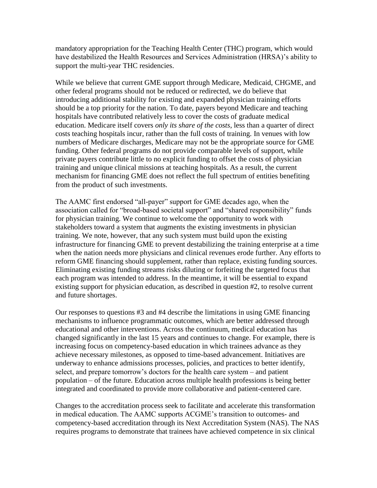mandatory appropriation for the Teaching Health Center (THC) program, which would have destabilized the Health Resources and Services Administration (HRSA)'s ability to support the multi-year THC residencies.

While we believe that current GME support through Medicare, Medicaid, CHGME, and other federal programs should not be reduced or redirected, we do believe that introducing additional stability for existing and expanded physician training efforts should be a top priority for the nation. To date, payers beyond Medicare and teaching hospitals have contributed relatively less to cover the costs of graduate medical education. Medicare itself covers *only its share of the costs*, less than a quarter of direct costs teaching hospitals incur, rather than the full costs of training. In venues with low numbers of Medicare discharges, Medicare may not be the appropriate source for GME funding. Other federal programs do not provide comparable levels of support, while private payers contribute little to no explicit funding to offset the costs of physician training and unique clinical missions at teaching hospitals. As a result, the current mechanism for financing GME does not reflect the full spectrum of entities benefiting from the product of such investments.

The AAMC first endorsed "all-payer" support for GME decades ago, when the association called for "broad-based societal support" and "shared responsibility" funds for physician training. We continue to welcome the opportunity to work with stakeholders toward a system that augments the existing investments in physician training. We note, however, that any such system must build upon the existing infrastructure for financing GME to prevent destabilizing the training enterprise at a time when the nation needs more physicians and clinical revenues erode further. Any efforts to reform GME financing should supplement, rather than replace, existing funding sources. Eliminating existing funding streams risks diluting or forfeiting the targeted focus that each program was intended to address. In the meantime, it will be essential to expand existing support for physician education, as described in question #2, to resolve current and future shortages.

Our responses to questions #3 and #4 describe the limitations in using GME financing mechanisms to influence programmatic outcomes, which are better addressed through educational and other interventions. Across the continuum, medical education has changed significantly in the last 15 years and continues to change. For example, there is increasing focus on competency-based education in which trainees advance as they achieve necessary milestones, as opposed to time-based advancement. Initiatives are underway to enhance admissions processes, policies, and practices to better identify, select, and prepare tomorrow's doctors for the health care system – and patient population – of the future. Education across multiple health professions is being better integrated and coordinated to provide more collaborative and patient-centered care.

Changes to the accreditation process seek to facilitate and accelerate this transformation in medical education. The AAMC supports ACGME's transition to outcomes- and competency-based accreditation through its Next Accreditation System (NAS). The NAS requires programs to demonstrate that trainees have achieved competence in six clinical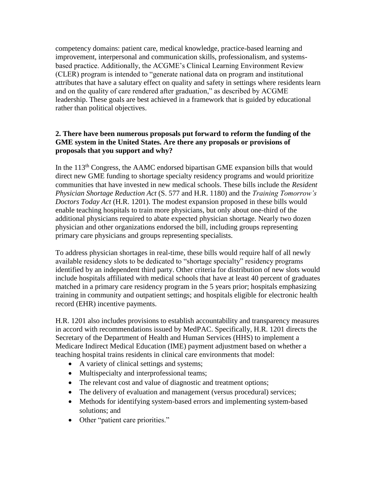competency domains: patient care, medical knowledge, practice-based learning and improvement, interpersonal and communication skills, professionalism, and systemsbased practice. Additionally, the ACGME's Clinical Learning Environment Review (CLER) program is intended to "generate national data on program and institutional attributes that have a salutary effect on quality and safety in settings where residents learn and on the quality of care rendered after graduation," as described by ACGME leadership. These goals are best achieved in a framework that is guided by educational rather than political objectives.

# **2. There have been numerous proposals put forward to reform the funding of the GME system in the United States. Are there any proposals or provisions of proposals that you support and why?**

In the  $113<sup>th</sup>$  Congress, the AAMC endorsed bipartisan GME expansion bills that would direct new GME funding to shortage specialty residency programs and would prioritize communities that have invested in new medical schools. These bills include the *Resident Physician Shortage Reduction Act* (S. 577 and H.R. 1180) and the *Training Tomorrow's Doctors Today Act* (H.R. 1201). The modest expansion proposed in these bills would enable teaching hospitals to train more physicians, but only about one-third of the additional physicians required to abate expected physician shortage. Nearly two dozen physician and other organizations endorsed the bill, including groups representing primary care physicians and groups representing specialists.

To address physician shortages in real-time, these bills would require half of all newly available residency slots to be dedicated to "shortage specialty" residency programs identified by an independent third party. Other criteria for distribution of new slots would include hospitals affiliated with medical schools that have at least 40 percent of graduates matched in a primary care residency program in the 5 years prior; hospitals emphasizing training in community and outpatient settings; and hospitals eligible for electronic health record (EHR) incentive payments.

H.R. 1201 also includes provisions to establish accountability and transparency measures in accord with recommendations issued by MedPAC. Specifically, H.R. 1201 directs the Secretary of the Department of Health and Human Services (HHS) to implement a Medicare Indirect Medical Education (IME) payment adjustment based on whether a teaching hospital trains residents in clinical care environments that model:

- A variety of clinical settings and systems;
- Multispecialty and interprofessional teams;
- The relevant cost and value of diagnostic and treatment options;
- The delivery of evaluation and management (versus procedural) services;
- Methods for identifying system-based errors and implementing system-based solutions; and
- Other "patient care priorities."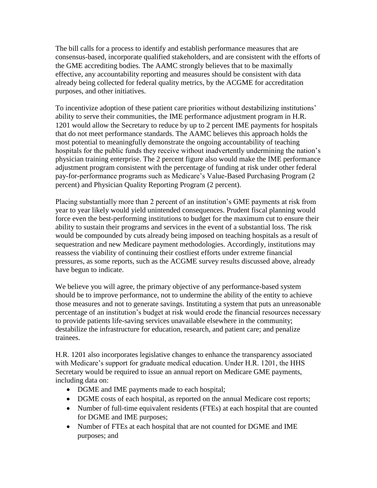The bill calls for a process to identify and establish performance measures that are consensus-based, incorporate qualified stakeholders, and are consistent with the efforts of the GME accrediting bodies. The AAMC strongly believes that to be maximally effective, any accountability reporting and measures should be consistent with data already being collected for federal quality metrics, by the ACGME for accreditation purposes, and other initiatives.

To incentivize adoption of these patient care priorities without destabilizing institutions' ability to serve their communities, the IME performance adjustment program in H.R. 1201 would allow the Secretary to reduce by up to 2 percent IME payments for hospitals that do not meet performance standards. The AAMC believes this approach holds the most potential to meaningfully demonstrate the ongoing accountability of teaching hospitals for the public funds they receive without inadvertently undermining the nation's physician training enterprise. The 2 percent figure also would make the IME performance adjustment program consistent with the percentage of funding at risk under other federal pay-for-performance programs such as Medicare's Value-Based Purchasing Program (2 percent) and Physician Quality Reporting Program (2 percent).

Placing substantially more than 2 percent of an institution's GME payments at risk from year to year likely would yield unintended consequences. Prudent fiscal planning would force even the best-performing institutions to budget for the maximum cut to ensure their ability to sustain their programs and services in the event of a substantial loss. The risk would be compounded by cuts already being imposed on teaching hospitals as a result of sequestration and new Medicare payment methodologies. Accordingly, institutions may reassess the viability of continuing their costliest efforts under extreme financial pressures, as some reports, such as the ACGME survey results discussed above, already have begun to indicate.

We believe you will agree, the primary objective of any performance-based system should be to improve performance, not to undermine the ability of the entity to achieve those measures and not to generate savings. Instituting a system that puts an unreasonable percentage of an institution's budget at risk would erode the financial resources necessary to provide patients life-saving services unavailable elsewhere in the community; destabilize the infrastructure for education, research, and patient care; and penalize trainees.

H.R. 1201 also incorporates legislative changes to enhance the transparency associated with Medicare's support for graduate medical education. Under H.R. 1201, the HHS Secretary would be required to issue an annual report on Medicare GME payments, including data on:

- DGME and IME payments made to each hospital;
- DGME costs of each hospital, as reported on the annual Medicare cost reports;
- Number of full-time equivalent residents (FTEs) at each hospital that are counted for DGME and IME purposes;
- Number of FTEs at each hospital that are not counted for DGME and IME purposes; and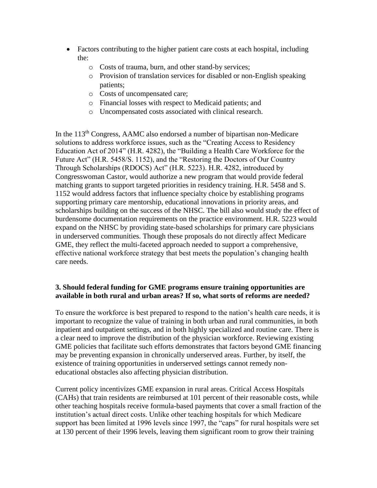- Factors contributing to the higher patient care costs at each hospital, including the:
	- o Costs of trauma, burn, and other stand-by services;
	- o Provision of translation services for disabled or non-English speaking patients;
	- o Costs of uncompensated care;
	- o Financial losses with respect to Medicaid patients; and
	- o Uncompensated costs associated with clinical research.

In the 113<sup>th</sup> Congress, AAMC also endorsed a number of bipartisan non-Medicare solutions to address workforce issues, such as the "Creating Access to Residency Education Act of 2014" (H.R. 4282), the "Building a Health Care Workforce for the Future Act" (H.R. 5458/S. 1152), and the "Restoring the Doctors of Our Country Through Scholarships (RDOCS) Act" (H.R. 5223). H.R. 4282, introduced by Congresswoman Castor, would authorize a new program that would provide federal matching grants to support targeted priorities in residency training. H.R. 5458 and S. 1152 would address factors that influence specialty choice by establishing programs supporting primary care mentorship, educational innovations in priority areas, and scholarships building on the success of the NHSC. The bill also would study the effect of burdensome documentation requirements on the practice environment. H.R. 5223 would expand on the NHSC by providing state-based scholarships for primary care physicians in underserved communities. Though these proposals do not directly affect Medicare GME, they reflect the multi-faceted approach needed to support a comprehensive, effective national workforce strategy that best meets the population's changing health care needs.

# **3. Should federal funding for GME programs ensure training opportunities are available in both rural and urban areas? If so, what sorts of reforms are needed?**

To ensure the workforce is best prepared to respond to the nation's health care needs, it is important to recognize the value of training in both urban and rural communities, in both inpatient and outpatient settings, and in both highly specialized and routine care. There is a clear need to improve the distribution of the physician workforce. Reviewing existing GME policies that facilitate such efforts demonstrates that factors beyond GME financing may be preventing expansion in chronically underserved areas. Further, by itself, the existence of training opportunities in underserved settings cannot remedy noneducational obstacles also affecting physician distribution.

Current policy incentivizes GME expansion in rural areas. Critical Access Hospitals (CAHs) that train residents are reimbursed at 101 percent of their reasonable costs, while other teaching hospitals receive formula-based payments that cover a small fraction of the institution's actual direct costs. Unlike other teaching hospitals for which Medicare support has been limited at 1996 levels since 1997, the "caps" for rural hospitals were set at 130 percent of their 1996 levels, leaving them significant room to grow their training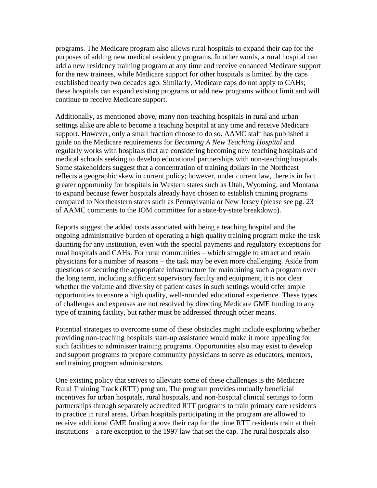programs. The Medicare program also allows rural hospitals to expand their cap for the purposes of adding new medical residency programs. In other words, a rural hospital can add a new residency training program at any time and receive enhanced Medicare support for the new trainees, while Medicare support for other hospitals is limited by the caps established nearly two decades ago. Similarly, Medicare caps do not apply to CAHs; these hospitals can expand existing programs or add new programs without limit and will continue to receive Medicare support.

Additionally, as mentioned above, many non-teaching hospitals in rural and urban settings alike are able to become a teaching hospital at any time and receive Medicare support. However, only a small fraction choose to do so. AAMC staff has published a guide on the Medicare requirements for *Becoming A New Teaching Hospital* and regularly works with hospitals that are considering becoming new teaching hospitals and medical schools seeking to develop educational partnerships with non-teaching hospitals. Some stakeholders suggest that a concentration of training dollars in the Northeast reflects a geographic skew in current policy; however, under current law, there is in fact greater opportunity for hospitals in Western states such as Utah, Wyoming, and Montana to expand because fewer hospitals already have chosen to establish training programs compared to Northeastern states such as Pennsylvania or New Jersey (please see pg. 23 of AAMC comments to the IOM committee for a state-by-state breakdown).

Reports suggest the added costs associated with being a teaching hospital and the ongoing administrative burden of operating a high quality training program make the task daunting for any institution, even with the special payments and regulatory exceptions for rural hospitals and CAHs. For rural communities – which struggle to attract and retain physicians for a number of reasons – the task may be even more challenging. Aside from questions of securing the appropriate infrastructure for maintaining such a program over the long term, including sufficient supervisory faculty and equipment, it is not clear whether the volume and diversity of patient cases in such settings would offer ample opportunities to ensure a high quality, well-rounded educational experience. These types of challenges and expenses are not resolved by directing Medicare GME funding to any type of training facility, but rather must be addressed through other means.

Potential strategies to overcome some of these obstacles might include exploring whether providing non-teaching hospitals start-up assistance would make it more appealing for such facilities to administer training programs. Opportunities also may exist to develop and support programs to prepare community physicians to serve as educators, mentors, and training program administrators.

One existing policy that strives to alleviate some of these challenges is the Medicare Rural Training Track (RTT) program. The program provides mutually beneficial incentives for urban hospitals, rural hospitals, and non-hospital clinical settings to form partnerships through separately accredited RTT programs to train primary care residents to practice in rural areas. Urban hospitals participating in the program are allowed to receive additional GME funding above their cap for the time RTT residents train at their institutions – a rare exception to the 1997 law that set the cap. The rural hospitals also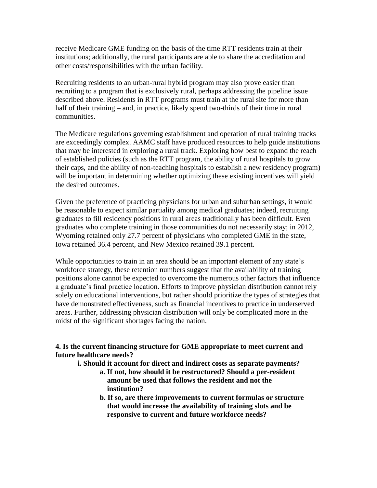receive Medicare GME funding on the basis of the time RTT residents train at their institutions; additionally, the rural participants are able to share the accreditation and other costs/responsibilities with the urban facility.

Recruiting residents to an urban-rural hybrid program may also prove easier than recruiting to a program that is exclusively rural, perhaps addressing the pipeline issue described above. Residents in RTT programs must train at the rural site for more than half of their training – and, in practice, likely spend two-thirds of their time in rural communities.

The Medicare regulations governing establishment and operation of rural training tracks are exceedingly complex. AAMC staff have produced resources to help guide institutions that may be interested in exploring a rural track. Exploring how best to expand the reach of established policies (such as the RTT program, the ability of rural hospitals to grow their caps, and the ability of non-teaching hospitals to establish a new residency program) will be important in determining whether optimizing these existing incentives will yield the desired outcomes.

Given the preference of practicing physicians for urban and suburban settings, it would be reasonable to expect similar partiality among medical graduates; indeed, recruiting graduates to fill residency positions in rural areas traditionally has been difficult. Even graduates who complete training in those communities do not necessarily stay; in 2012, Wyoming retained only 27.7 percent of physicians who completed GME in the state, Iowa retained 36.4 percent, and New Mexico retained 39.1 percent.

While opportunities to train in an area should be an important element of any state's workforce strategy, these retention numbers suggest that the availability of training positions alone cannot be expected to overcome the numerous other factors that influence a graduate's final practice location. Efforts to improve physician distribution cannot rely solely on educational interventions, but rather should prioritize the types of strategies that have demonstrated effectiveness, such as financial incentives to practice in underserved areas. Further, addressing physician distribution will only be complicated more in the midst of the significant shortages facing the nation.

**4. Is the current financing structure for GME appropriate to meet current and future healthcare needs?**

**i. Should it account for direct and indirect costs as separate payments?**

- **a. If not, how should it be restructured? Should a per-resident amount be used that follows the resident and not the institution?**
- **b. If so, are there improvements to current formulas or structure that would increase the availability of training slots and be responsive to current and future workforce needs?**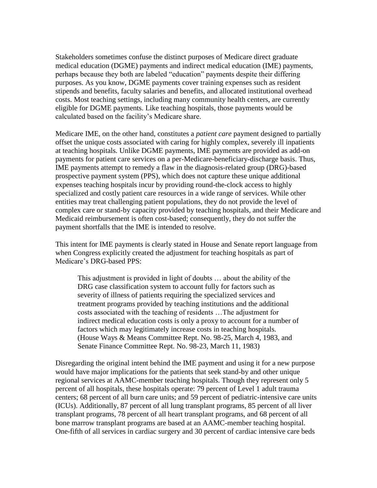Stakeholders sometimes confuse the distinct purposes of Medicare direct graduate medical education (DGME) payments and indirect medical education (IME) payments, perhaps because they both are labeled "education" payments despite their differing purposes. As you know, DGME payments cover training expenses such as resident stipends and benefits, faculty salaries and benefits, and allocated institutional overhead costs. Most teaching settings, including many community health centers, are currently eligible for DGME payments. Like teaching hospitals, those payments would be calculated based on the facility's Medicare share.

Medicare IME, on the other hand, constitutes a *patient care* payment designed to partially offset the unique costs associated with caring for highly complex, severely ill inpatients at teaching hospitals. Unlike DGME payments, IME payments are provided as add-on payments for patient care services on a per-Medicare-beneficiary-discharge basis. Thus, IME payments attempt to remedy a flaw in the diagnosis-related group (DRG)-based prospective payment system (PPS), which does not capture these unique additional expenses teaching hospitals incur by providing round-the-clock access to highly specialized and costly patient care resources in a wide range of services. While other entities may treat challenging patient populations, they do not provide the level of complex care or stand-by capacity provided by teaching hospitals, and their Medicare and Medicaid reimbursement is often cost-based; consequently, they do not suffer the payment shortfalls that the IME is intended to resolve.

This intent for IME payments is clearly stated in House and Senate report language from when Congress explicitly created the adjustment for teaching hospitals as part of Medicare's DRG-based PPS:

This adjustment is provided in light of doubts … about the ability of the DRG case classification system to account fully for factors such as severity of illness of patients requiring the specialized services and treatment programs provided by teaching institutions and the additional costs associated with the teaching of residents …The adjustment for indirect medical education costs is only a proxy to account for a number of factors which may legitimately increase costs in teaching hospitals. (House Ways & Means Committee Rept. No. 98-25, March 4, 1983, and Senate Finance Committee Rept. No. 98-23, March 11, 1983)

Disregarding the original intent behind the IME payment and using it for a new purpose would have major implications for the patients that seek stand-by and other unique regional services at AAMC-member teaching hospitals. Though they represent only 5 percent of all hospitals, these hospitals operate: 79 percent of Level 1 adult trauma centers; 68 percent of all burn care units; and 59 percent of pediatric-intensive care units (ICUs). Additionally, 87 percent of all lung transplant programs, 85 percent of all liver transplant programs, 78 percent of all heart transplant programs, and 68 percent of all bone marrow transplant programs are based at an AAMC-member teaching hospital. One-fifth of all services in cardiac surgery and 30 percent of cardiac intensive care beds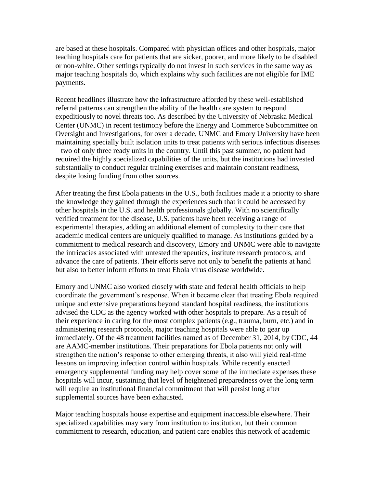are based at these hospitals. Compared with physician offices and other hospitals, major teaching hospitals care for patients that are sicker, poorer, and more likely to be disabled or non-white. Other settings typically do not invest in such services in the same way as major teaching hospitals do, which explains why such facilities are not eligible for IME payments.

Recent headlines illustrate how the infrastructure afforded by these well-established referral patterns can strengthen the ability of the health care system to respond expeditiously to novel threats too. As described by the University of Nebraska Medical Center (UNMC) in recent testimony before the Energy and Commerce Subcommittee on Oversight and Investigations, for over a decade, UNMC and Emory University have been maintaining specially built isolation units to treat patients with serious infectious diseases – two of only three ready units in the country. Until this past summer, no patient had required the highly specialized capabilities of the units, but the institutions had invested substantially to conduct regular training exercises and maintain constant readiness, despite losing funding from other sources.

After treating the first Ebola patients in the U.S., both facilities made it a priority to share the knowledge they gained through the experiences such that it could be accessed by other hospitals in the U.S. and health professionals globally. With no scientifically verified treatment for the disease, U.S. patients have been receiving a range of experimental therapies, adding an additional element of complexity to their care that academic medical centers are uniquely qualified to manage. As institutions guided by a commitment to medical research and discovery, Emory and UNMC were able to navigate the intricacies associated with untested therapeutics, institute research protocols, and advance the care of patients. Their efforts serve not only to benefit the patients at hand but also to better inform efforts to treat Ebola virus disease worldwide.

Emory and UNMC also worked closely with state and federal health officials to help coordinate the government's response. When it became clear that treating Ebola required unique and extensive preparations beyond standard hospital readiness, the institutions advised the CDC as the agency worked with other hospitals to prepare. As a result of their experience in caring for the most complex patients (e.g., trauma, burn, etc.) and in administering research protocols, major teaching hospitals were able to gear up immediately. Of the 48 treatment facilities named as of December 31, 2014, by CDC, 44 are AAMC-member institutions. Their preparations for Ebola patients not only will strengthen the nation's response to other emerging threats, it also will yield real-time lessons on improving infection control within hospitals. While recently enacted emergency supplemental funding may help cover some of the immediate expenses these hospitals will incur, sustaining that level of heightened preparedness over the long term will require an institutional financial commitment that will persist long after supplemental sources have been exhausted.

Major teaching hospitals house expertise and equipment inaccessible elsewhere. Their specialized capabilities may vary from institution to institution, but their common commitment to research, education, and patient care enables this network of academic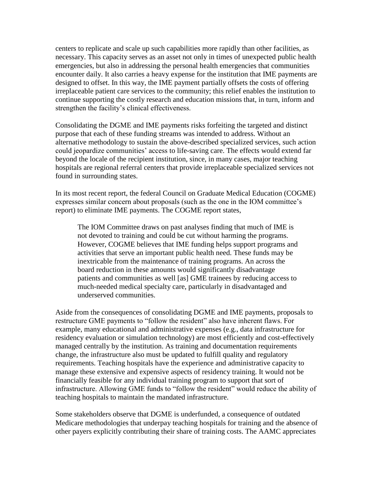centers to replicate and scale up such capabilities more rapidly than other facilities, as necessary. This capacity serves as an asset not only in times of unexpected public health emergencies, but also in addressing the personal health emergencies that communities encounter daily. It also carries a heavy expense for the institution that IME payments are designed to offset. In this way, the IME payment partially offsets the costs of offering irreplaceable patient care services to the community; this relief enables the institution to continue supporting the costly research and education missions that, in turn, inform and strengthen the facility's clinical effectiveness.

Consolidating the DGME and IME payments risks forfeiting the targeted and distinct purpose that each of these funding streams was intended to address. Without an alternative methodology to sustain the above-described specialized services, such action could jeopardize communities' access to life-saving care. The effects would extend far beyond the locale of the recipient institution, since, in many cases, major teaching hospitals are regional referral centers that provide irreplaceable specialized services not found in surrounding states.

In its most recent report, the federal Council on Graduate Medical Education (COGME) expresses similar concern about proposals (such as the one in the IOM committee's report) to eliminate IME payments. The COGME report states,

The IOM Committee draws on past analyses finding that much of IME is not devoted to training and could be cut without harming the programs. However, COGME believes that IME funding helps support programs and activities that serve an important public health need. These funds may be inextricable from the maintenance of training programs. An across the board reduction in these amounts would significantly disadvantage patients and communities as well [as] GME trainees by reducing access to much-needed medical specialty care, particularly in disadvantaged and underserved communities.

Aside from the consequences of consolidating DGME and IME payments, proposals to restructure GME payments to "follow the resident" also have inherent flaws. For example, many educational and administrative expenses (e.g., data infrastructure for residency evaluation or simulation technology) are most efficiently and cost-effectively managed centrally by the institution. As training and documentation requirements change, the infrastructure also must be updated to fulfill quality and regulatory requirements. Teaching hospitals have the experience and administrative capacity to manage these extensive and expensive aspects of residency training. It would not be financially feasible for any individual training program to support that sort of infrastructure. Allowing GME funds to "follow the resident" would reduce the ability of teaching hospitals to maintain the mandated infrastructure.

Some stakeholders observe that DGME is underfunded, a consequence of outdated Medicare methodologies that underpay teaching hospitals for training and the absence of other payers explicitly contributing their share of training costs. The AAMC appreciates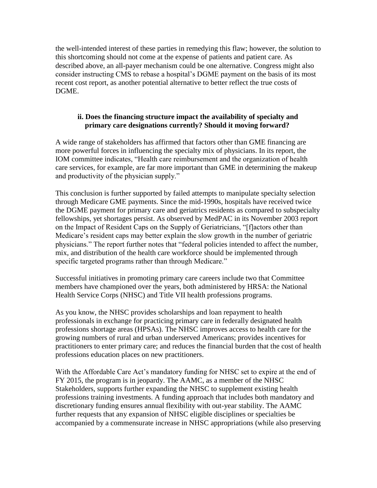the well-intended interest of these parties in remedying this flaw; however, the solution to this shortcoming should not come at the expense of patients and patient care. As described above, an all-payer mechanism could be one alternative. Congress might also consider instructing CMS to rebase a hospital's DGME payment on the basis of its most recent cost report, as another potential alternative to better reflect the true costs of DGME.

## **ii. Does the financing structure impact the availability of specialty and primary care designations currently? Should it moving forward?**

A wide range of stakeholders has affirmed that factors other than GME financing are more powerful forces in influencing the specialty mix of physicians. In its report, the IOM committee indicates, "Health care reimbursement and the organization of health care services, for example, are far more important than GME in determining the makeup and productivity of the physician supply."

This conclusion is further supported by failed attempts to manipulate specialty selection through Medicare GME payments. Since the mid-1990s, hospitals have received twice the DGME payment for primary care and geriatrics residents as compared to subspecialty fellowships, yet shortages persist. As observed by MedPAC in its November 2003 report on the Impact of Resident Caps on the Supply of Geriatricians, "[f]actors other than Medicare's resident caps may better explain the slow growth in the number of geriatric physicians." The report further notes that "federal policies intended to affect the number, mix, and distribution of the health care workforce should be implemented through specific targeted programs rather than through Medicare."

Successful initiatives in promoting primary care careers include two that Committee members have championed over the years, both administered by HRSA: the National Health Service Corps (NHSC) and Title VII health professions programs.

As you know, the NHSC provides scholarships and loan repayment to health professionals in exchange for practicing primary care in federally designated health professions shortage areas (HPSAs). The NHSC improves access to health care for the growing numbers of rural and urban underserved Americans; provides incentives for practitioners to enter primary care; and reduces the financial burden that the cost of health professions education places on new practitioners.

With the Affordable Care Act's mandatory funding for NHSC set to expire at the end of FY 2015, the program is in jeopardy. The AAMC, as a member of the NHSC Stakeholders, supports further expanding the NHSC to supplement existing health professions training investments. A funding approach that includes both mandatory and discretionary funding ensures annual flexibility with out-year stability. The AAMC further requests that any expansion of NHSC eligible disciplines or specialties be accompanied by a commensurate increase in NHSC appropriations (while also preserving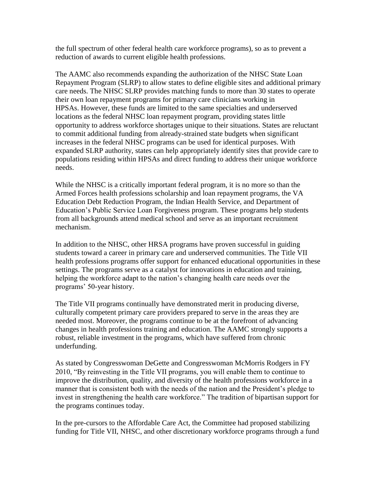the full spectrum of other federal health care workforce programs), so as to prevent a reduction of awards to current eligible health professions.

The AAMC also recommends expanding the authorization of the NHSC State Loan Repayment Program (SLRP) to allow states to define eligible sites and additional primary care needs. The NHSC SLRP provides matching funds to more than 30 states to operate their own loan repayment programs for primary care clinicians working in HPSAs. However, these funds are limited to the same specialties and underserved locations as the federal NHSC loan repayment program, providing states little opportunity to address workforce shortages unique to their situations. States are reluctant to commit additional funding from already-strained state budgets when significant increases in the federal NHSC programs can be used for identical purposes. With expanded SLRP authority, states can help appropriately identify sites that provide care to populations residing within HPSAs and direct funding to address their unique workforce needs.

While the NHSC is a critically important federal program, it is no more so than the Armed Forces health professions scholarship and loan repayment programs, the VA Education Debt Reduction Program, the Indian Health Service, and Department of Education's Public Service Loan Forgiveness program. These programs help students from all backgrounds attend medical school and serve as an important recruitment mechanism.

In addition to the NHSC, other HRSA programs have proven successful in guiding students toward a career in primary care and underserved communities. The Title VII health professions programs offer support for enhanced educational opportunities in these settings. The programs serve as a catalyst for innovations in education and training, helping the workforce adapt to the nation's changing health care needs over the programs' 50-year history.

The Title VII programs continually have demonstrated merit in producing diverse, culturally competent primary care providers prepared to serve in the areas they are needed most. Moreover, the programs continue to be at the forefront of advancing changes in health professions training and education. The AAMC strongly supports a robust, reliable investment in the programs, which have suffered from chronic underfunding.

As stated by Congresswoman DeGette and Congresswoman McMorris Rodgers in FY 2010, "By reinvesting in the Title VII programs, you will enable them to continue to improve the distribution, quality, and diversity of the health professions workforce in a manner that is consistent both with the needs of the nation and the President's pledge to invest in strengthening the health care workforce." The tradition of bipartisan support for the programs continues today.

In the pre-cursors to the Affordable Care Act, the Committee had proposed stabilizing funding for Title VII, NHSC, and other discretionary workforce programs through a fund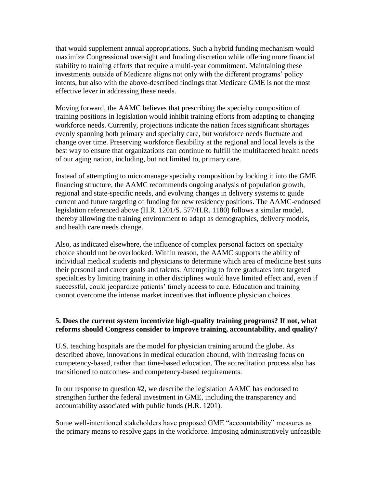that would supplement annual appropriations. Such a hybrid funding mechanism would maximize Congressional oversight and funding discretion while offering more financial stability to training efforts that require a multi-year commitment. Maintaining these investments outside of Medicare aligns not only with the different programs' policy intents, but also with the above-described findings that Medicare GME is not the most effective lever in addressing these needs.

Moving forward, the AAMC believes that prescribing the specialty composition of training positions in legislation would inhibit training efforts from adapting to changing workforce needs. Currently, projections indicate the nation faces significant shortages evenly spanning both primary and specialty care, but workforce needs fluctuate and change over time. Preserving workforce flexibility at the regional and local levels is the best way to ensure that organizations can continue to fulfill the multifaceted health needs of our aging nation, including, but not limited to, primary care.

Instead of attempting to micromanage specialty composition by locking it into the GME financing structure, the AAMC recommends ongoing analysis of population growth, regional and state-specific needs, and evolving changes in delivery systems to guide current and future targeting of funding for new residency positions. The AAMC-endorsed legislation referenced above (H.R. 1201/S. 577/H.R. 1180) follows a similar model, thereby allowing the training environment to adapt as demographics, delivery models, and health care needs change.

Also, as indicated elsewhere, the influence of complex personal factors on specialty choice should not be overlooked. Within reason, the AAMC supports the ability of individual medical students and physicians to determine which area of medicine best suits their personal and career goals and talents. Attempting to force graduates into targeted specialties by limiting training in other disciplines would have limited effect and, even if successful, could jeopardize patients' timely access to care. Education and training cannot overcome the intense market incentives that influence physician choices.

### **5. Does the current system incentivize high-quality training programs? If not, what reforms should Congress consider to improve training, accountability, and quality?**

U.S. teaching hospitals are the model for physician training around the globe. As described above, innovations in medical education abound, with increasing focus on competency-based, rather than time-based education. The accreditation process also has transitioned to outcomes- and competency-based requirements.

In our response to question #2, we describe the legislation AAMC has endorsed to strengthen further the federal investment in GME, including the transparency and accountability associated with public funds (H.R. 1201).

Some well-intentioned stakeholders have proposed GME "accountability" measures as the primary means to resolve gaps in the workforce. Imposing administratively unfeasible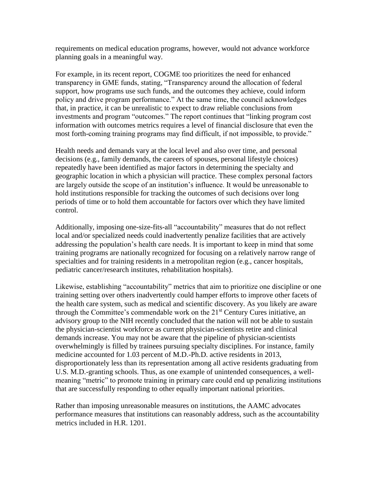requirements on medical education programs, however, would not advance workforce planning goals in a meaningful way.

For example, in its recent report, COGME too prioritizes the need for enhanced transparency in GME funds, stating, "Transparency around the allocation of federal support, how programs use such funds, and the outcomes they achieve, could inform policy and drive program performance." At the same time, the council acknowledges that, in practice, it can be unrealistic to expect to draw reliable conclusions from investments and program "outcomes." The report continues that "linking program cost information with outcomes metrics requires a level of financial disclosure that even the most forth-coming training programs may find difficult, if not impossible, to provide."

Health needs and demands vary at the local level and also over time, and personal decisions (e.g., family demands, the careers of spouses, personal lifestyle choices) repeatedly have been identified as major factors in determining the specialty and geographic location in which a physician will practice. These complex personal factors are largely outside the scope of an institution's influence. It would be unreasonable to hold institutions responsible for tracking the outcomes of such decisions over long periods of time or to hold them accountable for factors over which they have limited control.

Additionally, imposing one-size-fits-all "accountability" measures that do not reflect local and/or specialized needs could inadvertently penalize facilities that are actively addressing the population's health care needs. It is important to keep in mind that some training programs are nationally recognized for focusing on a relatively narrow range of specialties and for training residents in a metropolitan region (e.g., cancer hospitals, pediatric cancer/research institutes, rehabilitation hospitals).

Likewise, establishing "accountability" metrics that aim to prioritize one discipline or one training setting over others inadvertently could hamper efforts to improve other facets of the health care system, such as medical and scientific discovery. As you likely are aware through the Committee's commendable work on the  $21<sup>st</sup>$  Century Cures initiative, an advisory group to the NIH recently concluded that the nation will not be able to sustain the physician-scientist workforce as current physician-scientists retire and clinical demands increase. You may not be aware that the pipeline of physician-scientists overwhelmingly is filled by trainees pursuing specialty disciplines. For instance, family medicine accounted for 1.03 percent of M.D.-Ph.D. active residents in 2013, disproportionately less than its representation among all active residents graduating from U.S. M.D.-granting schools. Thus, as one example of unintended consequences, a wellmeaning "metric" to promote training in primary care could end up penalizing institutions that are successfully responding to other equally important national priorities.

Rather than imposing unreasonable measures on institutions, the AAMC advocates performance measures that institutions can reasonably address, such as the accountability metrics included in H.R. 1201.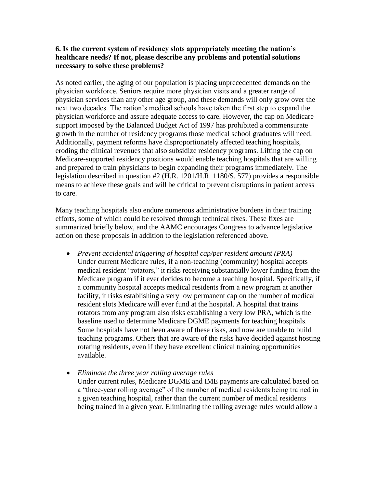## **6. Is the current system of residency slots appropriately meeting the nation's healthcare needs? If not, please describe any problems and potential solutions necessary to solve these problems?**

As noted earlier, the aging of our population is placing unprecedented demands on the physician workforce. Seniors require more physician visits and a greater range of physician services than any other age group, and these demands will only grow over the next two decades. The nation's medical schools have taken the first step to expand the physician workforce and assure adequate access to care. However, the cap on Medicare support imposed by the Balanced Budget Act of 1997 has prohibited a commensurate growth in the number of residency programs those medical school graduates will need. Additionally, payment reforms have disproportionately affected teaching hospitals, eroding the clinical revenues that also subsidize residency programs. Lifting the cap on Medicare-supported residency positions would enable teaching hospitals that are willing and prepared to train physicians to begin expanding their programs immediately. The legislation described in question #2 (H.R. 1201/H.R. 1180/S. 577) provides a responsible means to achieve these goals and will be critical to prevent disruptions in patient access to care.

Many teaching hospitals also endure numerous administrative burdens in their training efforts, some of which could be resolved through technical fixes. These fixes are summarized briefly below, and the AAMC encourages Congress to advance legislative action on these proposals in addition to the legislation referenced above.

 *Prevent accidental triggering of hospital cap/per resident amount (PRA)*  Under current Medicare rules, if a non-teaching (community) hospital accepts medical resident "rotators," it risks receiving substantially lower funding from the Medicare program if it ever decides to become a teaching hospital. Specifically, if a community hospital accepts medical residents from a new program at another facility, it risks establishing a very low permanent cap on the number of medical resident slots Medicare will ever fund at the hospital. A hospital that trains rotators from any program also risks establishing a very low PRA, which is the baseline used to determine Medicare DGME payments for teaching hospitals. Some hospitals have not been aware of these risks, and now are unable to build teaching programs. Others that are aware of the risks have decided against hosting rotating residents, even if they have excellent clinical training opportunities available.

*Eliminate the three year rolling average rules*

Under current rules, Medicare DGME and IME payments are calculated based on a "three-year rolling average" of the number of medical residents being trained in a given teaching hospital, rather than the current number of medical residents being trained in a given year. Eliminating the rolling average rules would allow a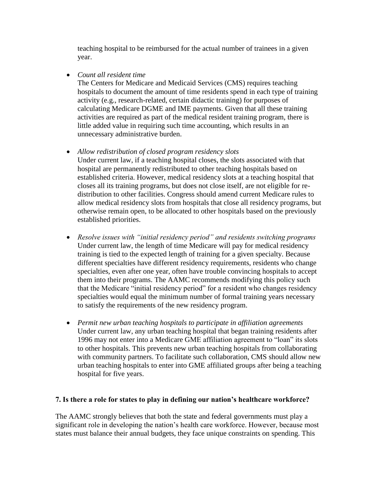teaching hospital to be reimbursed for the actual number of trainees in a given year.

*Count all resident time*

The Centers for Medicare and Medicaid Services (CMS) requires teaching hospitals to document the amount of time residents spend in each type of training activity (e.g., research-related, certain didactic training) for purposes of calculating Medicare DGME and IME payments. Given that all these training activities are required as part of the medical resident training program, there is little added value in requiring such time accounting, which results in an unnecessary administrative burden.

*Allow redistribution of closed program residency slots*

Under current law, if a teaching hospital closes, the slots associated with that hospital are permanently redistributed to other teaching hospitals based on established criteria. However, medical residency slots at a teaching hospital that closes all its training programs, but does not close itself, are not eligible for redistribution to other facilities. Congress should amend current Medicare rules to allow medical residency slots from hospitals that close all residency programs, but otherwise remain open, to be allocated to other hospitals based on the previously established priorities.

- *Resolve issues with "initial residency period" and residents switching programs* Under current law, the length of time Medicare will pay for medical residency training is tied to the expected length of training for a given specialty. Because different specialties have different residency requirements, residents who change specialties, even after one year, often have trouble convincing hospitals to accept them into their programs. The AAMC recommends modifying this policy such that the Medicare "initial residency period" for a resident who changes residency specialties would equal the minimum number of formal training years necessary to satisfy the requirements of the new residency program.
- *Permit new urban teaching hospitals to participate in affiliation agreements*  Under current law, any urban teaching hospital that began training residents after 1996 may not enter into a Medicare GME affiliation agreement to "loan" its slots to other hospitals. This prevents new urban teaching hospitals from collaborating with community partners. To facilitate such collaboration, CMS should allow new urban teaching hospitals to enter into GME affiliated groups after being a teaching hospital for five years.

# **7. Is there a role for states to play in defining our nation's healthcare workforce?**

The AAMC strongly believes that both the state and federal governments must play a significant role in developing the nation's health care workforce. However, because most states must balance their annual budgets, they face unique constraints on spending. This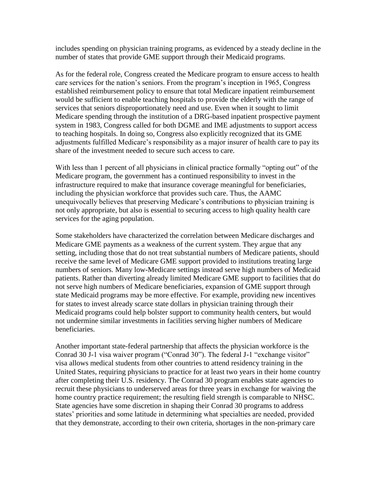includes spending on physician training programs, as evidenced by a steady decline in the number of states that provide GME support through their Medicaid programs.

As for the federal role, Congress created the Medicare program to ensure access to health care services for the nation's seniors. From the program's inception in 1965, Congress established reimbursement policy to ensure that total Medicare inpatient reimbursement would be sufficient to enable teaching hospitals to provide the elderly with the range of services that seniors disproportionately need and use. Even when it sought to limit Medicare spending through the institution of a DRG-based inpatient prospective payment system in 1983, Congress called for both DGME and IME adjustments to support access to teaching hospitals. In doing so, Congress also explicitly recognized that its GME adjustments fulfilled Medicare's responsibility as a major insurer of health care to pay its share of the investment needed to secure such access to care.

With less than 1 percent of all physicians in clinical practice formally "opting out" of the Medicare program, the government has a continued responsibility to invest in the infrastructure required to make that insurance coverage meaningful for beneficiaries, including the physician workforce that provides such care. Thus, the AAMC unequivocally believes that preserving Medicare's contributions to physician training is not only appropriate, but also is essential to securing access to high quality health care services for the aging population.

Some stakeholders have characterized the correlation between Medicare discharges and Medicare GME payments as a weakness of the current system. They argue that any setting, including those that do not treat substantial numbers of Medicare patients, should receive the same level of Medicare GME support provided to institutions treating large numbers of seniors. Many low-Medicare settings instead serve high numbers of Medicaid patients. Rather than diverting already limited Medicare GME support to facilities that do not serve high numbers of Medicare beneficiaries, expansion of GME support through state Medicaid programs may be more effective. For example, providing new incentives for states to invest already scarce state dollars in physician training through their Medicaid programs could help bolster support to community health centers, but would not undermine similar investments in facilities serving higher numbers of Medicare beneficiaries.

Another important state-federal partnership that affects the physician workforce is the Conrad 30 J-1 visa waiver program ("Conrad 30"). The federal J-1 "exchange visitor" visa allows medical students from other countries to attend residency training in the United States, requiring physicians to practice for at least two years in their home country after completing their U.S. residency. The Conrad 30 program enables state agencies to recruit these physicians to underserved areas for three years in exchange for waiving the home country practice requirement; the resulting field strength is comparable to NHSC. State agencies have some discretion in shaping their Conrad 30 programs to address states' priorities and some latitude in determining what specialties are needed, provided that they demonstrate, according to their own criteria, shortages in the non-primary care